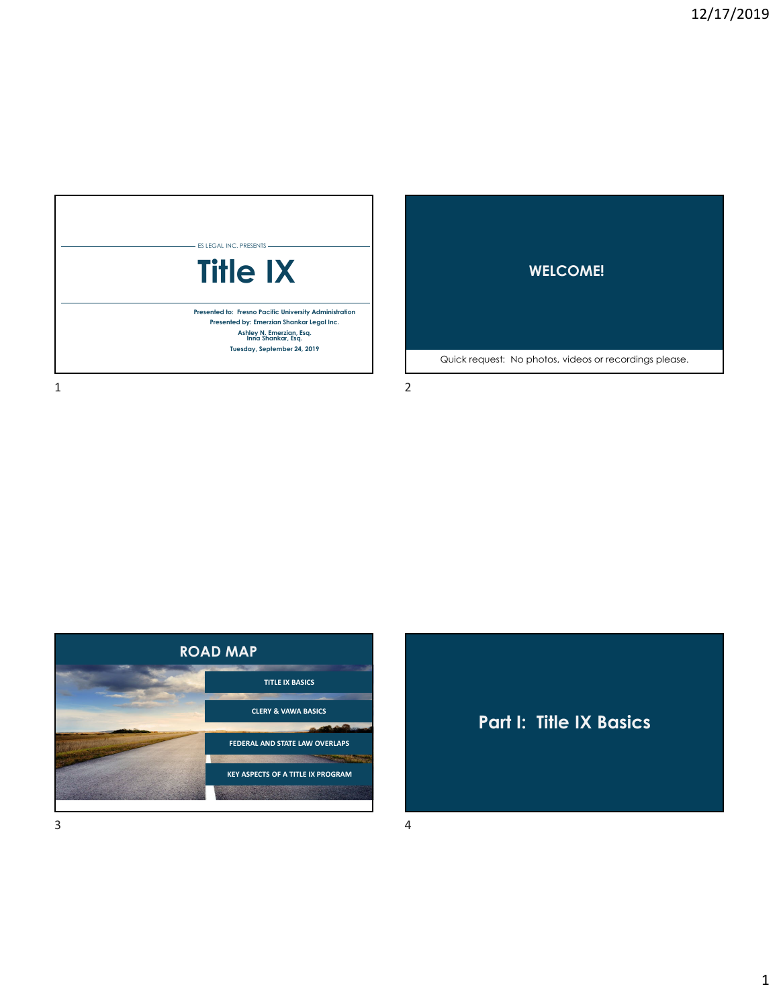



 $1$  2



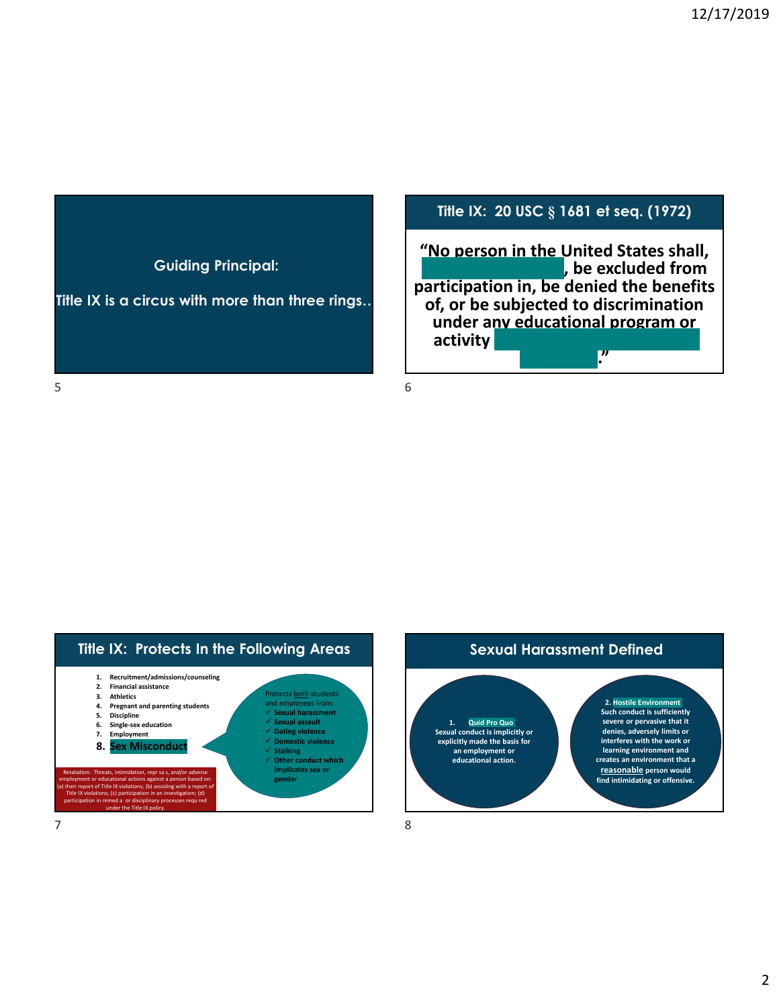

**Title IX is a circus with more than three rings…** 

# **Title IX: 20 USC § 1681 et seq. (1972)**

**"No person in the United States shall, on the basis of sex, be excluded from participation in, be denied the benefits of, or be subjected to discrimination u** understand in the United States shall,<br> **b** excluded from<br> **rticipation in, be denied the benefits**<br>
of, or be subjected to discrimination<br>
under any educational program or **activity receiving Federal financial assistance."** 

 $5<sub>6</sub>$ 



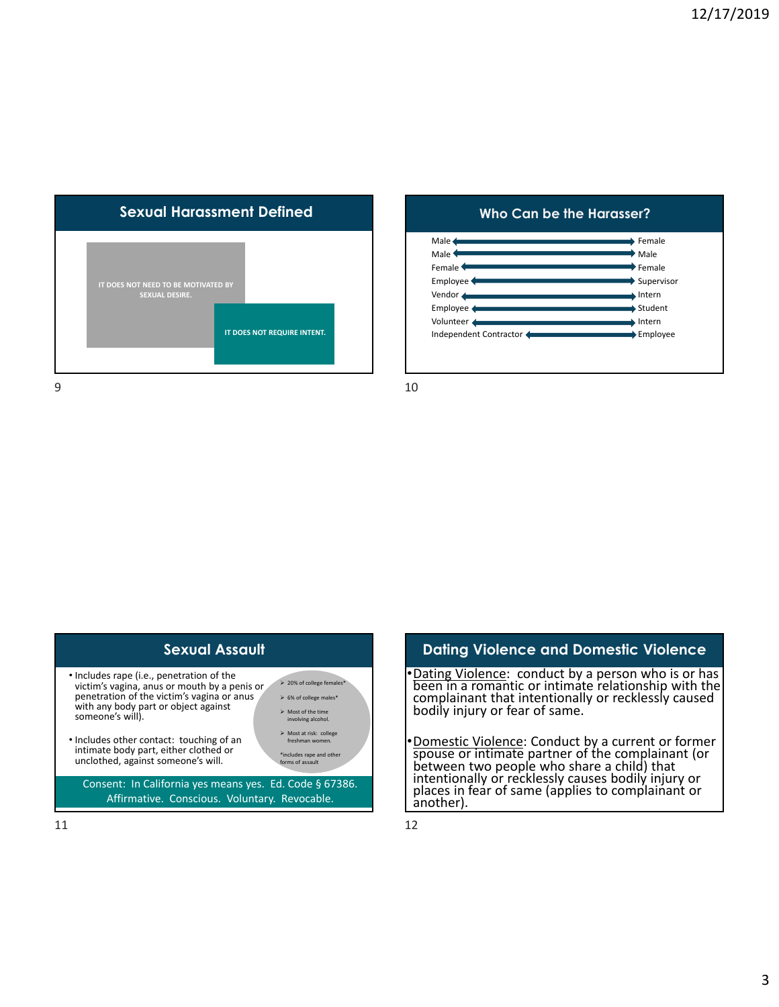

### **Who Can be the Harasser?**





### In a romantic or intimate relationship with the<br>in a romantic or intimate relationship with the<br>plainant that intentionally or recklessly caused<br>y injury or fear of same. **Dating Violence and Domestic Violence**  •Dating Violence: conduct by a person who is or has been in a romantic or intimate relationship with the complainant that intentionally or recklessly caused

bodily injury or fear of same.

•Domestic Violence: Conduct by a current or former<br>spouse or intimate partner of the complainant (or<br>between two people who share a child) that<br>intentionally or recklessly causes bodily injury or<br>places in fear of same (ap spouse or intimate partner of the complainant (or between two people who share <sup>a</sup> child) that intentionally or recklessly causes bodily injury or places in fear of same (applies to complainant or another).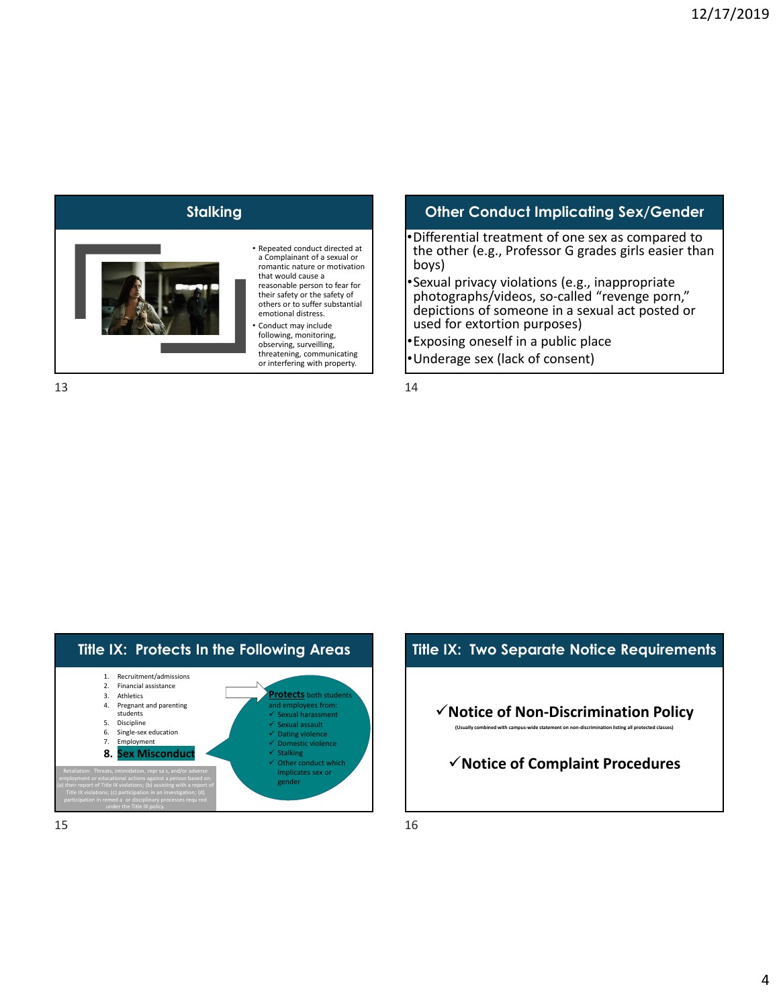

### • Repeated conduct directed at a Complainant of a sexual or romantic nature or motivation that would cause a reasonable person to fear for

their safety or the safety of others or to suffer substantial emotional distress.

• Conduct may include following, monitoring, observing, surveilling, threatening, communicating or interfering with property.

### 13

## **Stalking Conduct Implicating Sex/Gender Conduct Implicating Sex/Gender**

- •Differential treatment of one sex as compared to Differential treatment of one sex as compared to<br>the other (e.g., Professor G grades girls easier than boys)
- •Sexual privacy violations (e.g., inappropriate photographs/videos, so‐called "revenge porn," depictions of someone in a sexual act posted or used for extortion purposes) al privacy violations (e.g., inappropriate<br>ographs/videos, so-called "revenge porn,"<br>ctions of someone in a sexual act posted or<br>for extortion purposes)
- •Exposing oneself in a public place •Underage sex (lack of consent)

14





*<u> (Usually combined with campus-wide statement on non-discrimination listing all protected classes)*</u>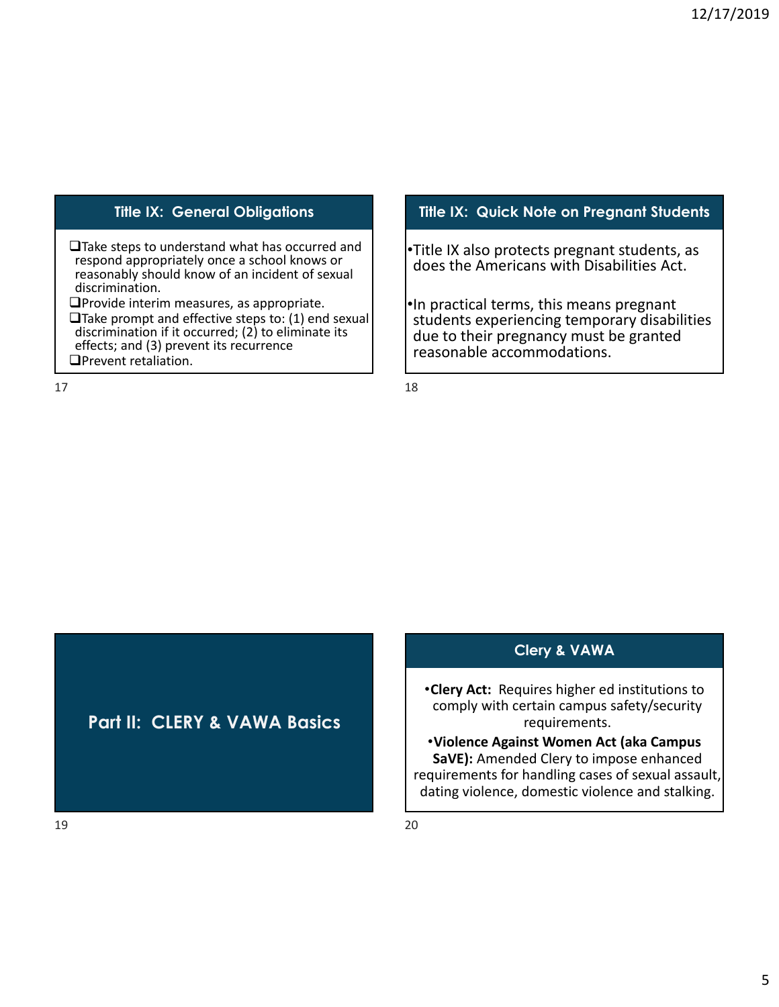■Take steps to understand what has occurred and respond appropriately once a school knows or **]**Take steps to understand what has occurred and<br>respond appropriately once a school knows or<br>reasonably should know of an incident of sexual discrimination.

Provide interim measures, as appropriate.

 $\Box$ Take prompt and effective steps to: (1) end sexual discrimination if it occurred; (2) to eliminate its effects; and (3) prevent its recurrence discrimination if it occurred; (2) to eliminate its effects; and (3) prevent its recurrence **OPrevent retaliation.** 

17

### **Title IX: General Obligations Title IX: Quick Note on Pregnant Students**

•Title IX also protects pregnant students, as does the Americans with Disabilities Act.

•In practical terms, this means pregnant students experiencing temporary disabilities due to their pregnancy must be granted reasonable accommodations. practical terms, this means pregnant<br>udents experiencing temporary disabilities<br>ue to their pregnancy must be granted

18

**Part II: CLERY & VAWA Basics** 

## **Clery & VAWA**

 •**Clery Act:** Requires higher ed institutions to comply with certain campus safety/security requirements.

 •**Violence Against Women Act (aka Campus SaVE):** Amended Clery to impose enhanced requirements for handling cases of sexual assault, dating violence, domestic violence and stalking.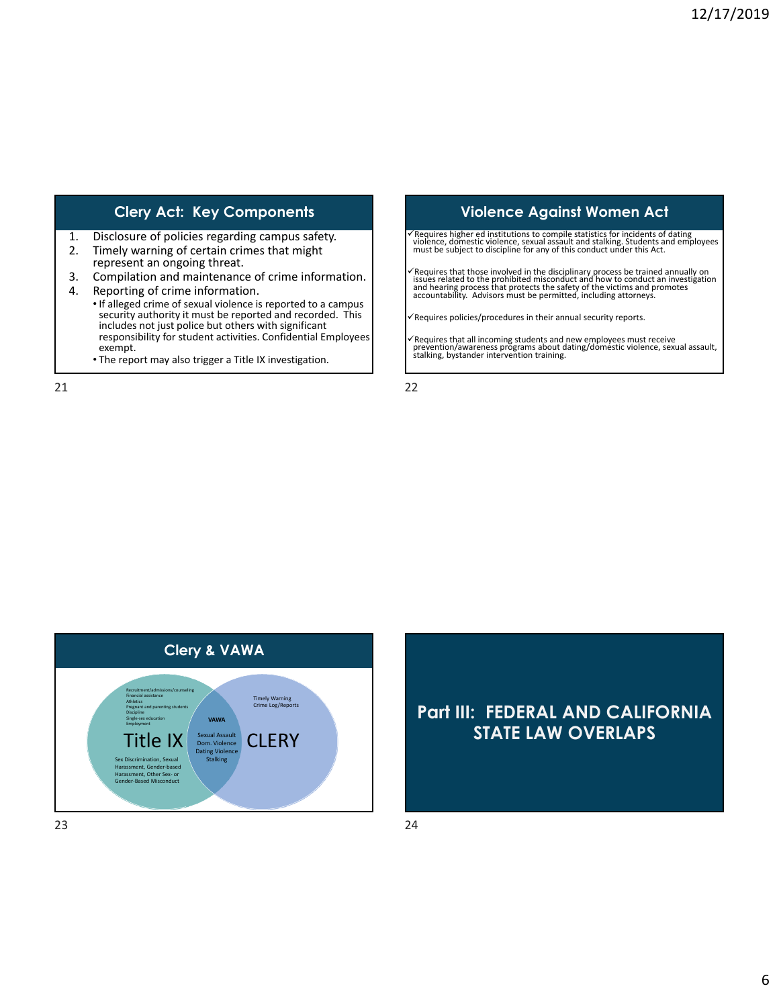- 1. Disclosure of policies regarding campus safety.
- 2. Timely warning of certain crimes that might represent an ongoing threat.
- 3. Compilation and maintenance of crime information.
- 4. Reporting of crime information.
	- If alleged crime of sexual violence is reported to a campus security authority it must be reported and recorded. This includes not just police but others with significant responsibility for student activities. Confidential Employees exempt. alleged crime of sexual violence is reported to a campus<br>ecurity authority it must be reported and recorded. This<br>icludes not just police but others with significant<br>esponsibility for student activities. Confidential Emplo
	- The report may also trigger a Title IX investigation.

21

### Clery Act: Key Components **Violence Against Women Act**

√Requires higher ed institutions to compile statistics for incidents of dating<br>violence, domestic violence, sexual assault and stalking. Students and employees<br>must be subject to discipline for any of this conduct under t

 $\checkmark$  Requires that those involved in the disciplinary process be trained annually on issues related to the prohibited misconduct and how to conduct an investigation and hearing process that protects the safety of the vic

 $\checkmark$  Requires policies/procedures in their annual security reports.

√Requires that all incoming students and new employees must receive<br>prevention/awareness programs about dating/domestic violence, sexual assault,<br>stalking, bystander intervention training.

22



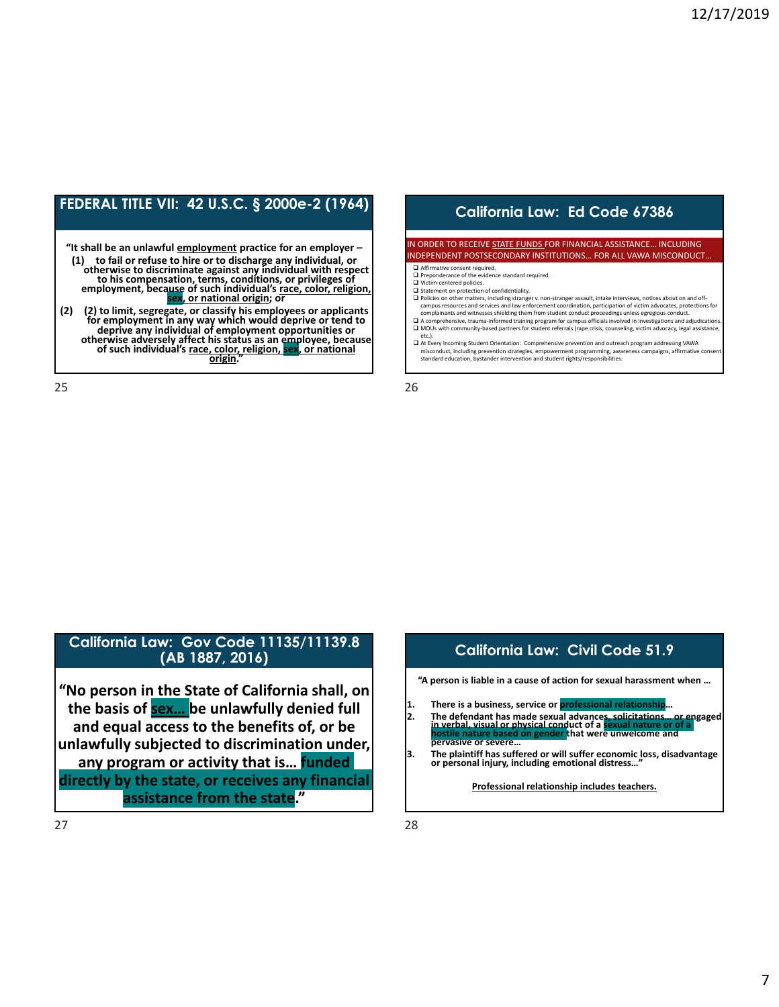# **FEDERAL TITLE VII: 42 U.S.C. § 2000e-2 (1964) California Law: Ed Code 67386**

**"It shall be an unlawful employment practice for an employer –**  (1) to fail or refuse to hire or to discharge any individual, or<br>otherwise to discriminate against any individual with respect<br>to his compensation, terms, conditions, or privileges of<br>employment, because of such individual

(2) (2) to limit, segregate, or classify his employees or applicants<br>for employment in any way which would deprive or tend to (2) to limit, segregate, or classify his employees or applicants<br>for employment in any way which would deprive or tend to<br>deprive any individual of employment opportunities or<br>otherwise adversely affect his status as an e

25

### IN ORDER TO RECEIVE STATE FUNDS FOR FINANCIAL ASSISTANCE… INCLUDING INDEPENDENT POSTSECONDARY INSTITUTIONS… FOR ALL VAWA MISCONDUCT…

- Affirmative consent required. Preponderance of the evidence standard required.
- □ Victim-centered policies.
- 
- □ Statement on protection of confidentiality.<br>□ Policies on other matters, including stranger v. non-stranger assault, intake interviews, notices about on and off-<br>- campus resources and services and law enforcement coord complainants and witnesses shielding them from student conduct proceedings unless egregious conduct. ent on protection of confidentiality.<br> on other matters, including stranger v. non-stranger assault, intake interviews, notices about on and off-<br>: resources and services and law enforcement coordination, participation of
- □ A comprehensive, trauma-informed training program for campus officials involved in investigations and adjudications.<br>□ MOUs with community-based partners for student referrals (rape crisis, counseling, victim advocacy,
- etc.).<br>□ At Every Incoming Student Orientation: Comprehensive prevention and outreach program addressing VAWA misconduct, including prevention strategies, empowerment programming, awareness campaigns, affirmative consent standard education, bystander intervention and student rights/responsibilities.

26

# **California Law: Gov Code 11135/11139.8**

 **"No person in the State of California shall, on** the basis of **sex...** be unlawfully denied full  $\vert$  and the offere is a business, service or professional relationship...<br>2. The defendant has made sexual advances, solicitations... or engaged and equal access to the benefits of, or be  $\left| \begin{array}{c} \text{unlawfully subjected to discrimination under,} \\ \text{unlaw,} \\ \text{unlaw,} \\ \text{unlaw,} \\ \text{unlaw,} \\ \text{unlaw,} \\ \text{unlaw,} \\ \text{unlaw,} \\ \text{unlaw,} \\ \text{unlaw,} \\ \text{unlaw,} \\ \text{unlaw,} \\ \text{unlaw,} \\ \text{unlaw,} \\ \text{unlaw,} \\ \text{unlaw,} \\ \text{unlaw,} \\ \text{unlaw,} \\ \text{unlaw,} \\ \text{unlaw,} \\ \text{unlaw,} \\ \text{unlaw,} \\ \text{unlaw,$  **any program or activity that is… funded or personal injury, including emotional distress…" directly by the state, or receives any financial assistance from the state."** and equal access to the benefits of, or be<br>and equal access to the benefits of, or be<br>and the state of a sexual nature or of a sexual nature or of a sexual nature or of a sexual nature or of a sexual nature or of a sexual

# **"A person is liable in a cause of action for sexual harassment when …** There is a business, service or **professional relationship** The plaintiff has suffered or will suffer economic loss, disadvantage or personal injury, including emotional distress...

**(AB 1887, 2016) California Law: Civil Code 51.9** 

 **Professional relationship includes teachers.**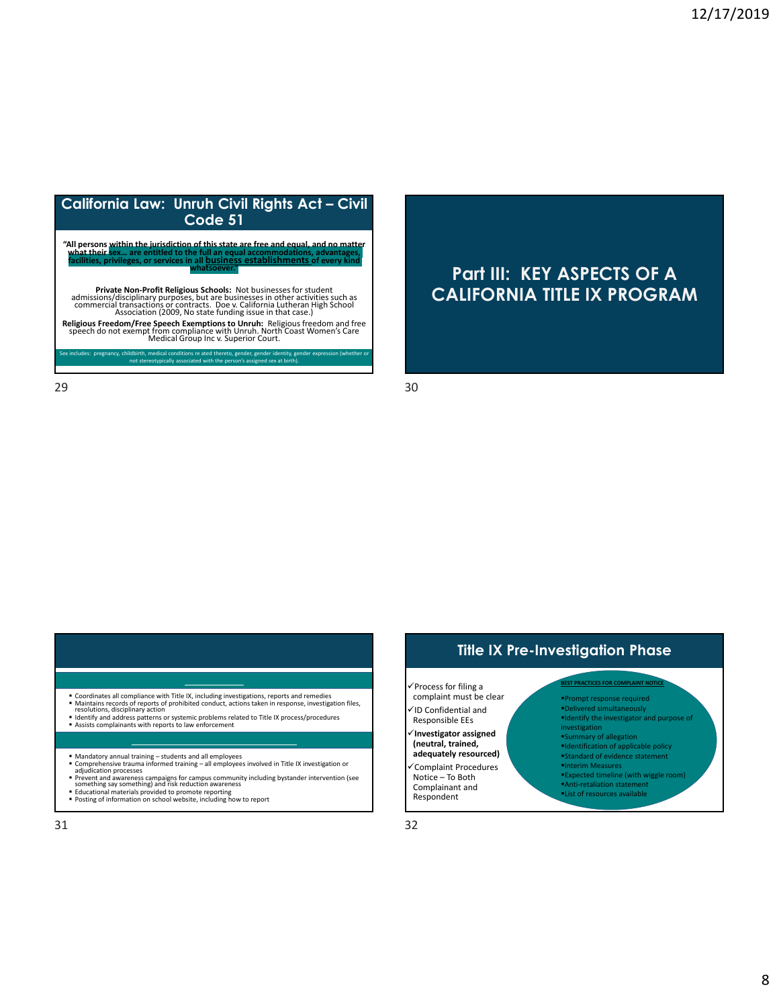

# **Part III: KEY ASPECTS OF A CALIFORNIA TITLE IX PROGRAM**

 $29$  30

### **COMPLIANCE**

- Coordinates all compliance with Title IX, including investigations, reports and remedies<br>■ Maintains records of reports of prohibited conduct, actions taken in response, investigation files, ns records of reports of prohibited conduct, actions taken in response, investigation files,<br>ons, disciplinary action<br>and address patterns or systemic problems related to Title IX process/procedures<br>complainants with repor
- resolutions, disciplinary action<br>
I dentify and address patterns or systemic problems related to Title IX process/procedures<br> **Assists complainants with reports to law enforcement**
- 
- **TRAINING AND CAMPUS AWARENESS**
- 
- Mandatory annual training students and all employees<br>■ Comprehensive trauma informed training all employees involved in Title IX investigation or<br>■ adjudication processes
- Prevent and awareness campaigns for campus community including bystander intervention (see<br>Something say something) and risk reduction awareness<br>• Educational materials provided to promote reporting<br>• Posting of informatio t and awareness campaigns for campus community including bystander intervention (see<br>ing say something) and risk reduction awareness<br>onal materials provided to promote reporting<br>of information on school website, including
- 
- 



### $\checkmark$  Process for filing a complaint must be clear ID Confidential and  **Investigator assigned (neutral, trained,** Complaint Procedures Notice – To Both Responsible EEs **adequately resourced)**

 Complainant and Respondent

### **PRACTICES FOR**  Prompt response required **BEST PRACTICES FOR COMPLAINT NOTICE** Delivered simultaneously

 Identify the investigator and purpose of Summary of allegation Identification of applicable policy Standard of evidence statement Interim Measures **investigation** 

- Expected timeline (with wiggle room) Anti‐retaliation statement
- List of resources available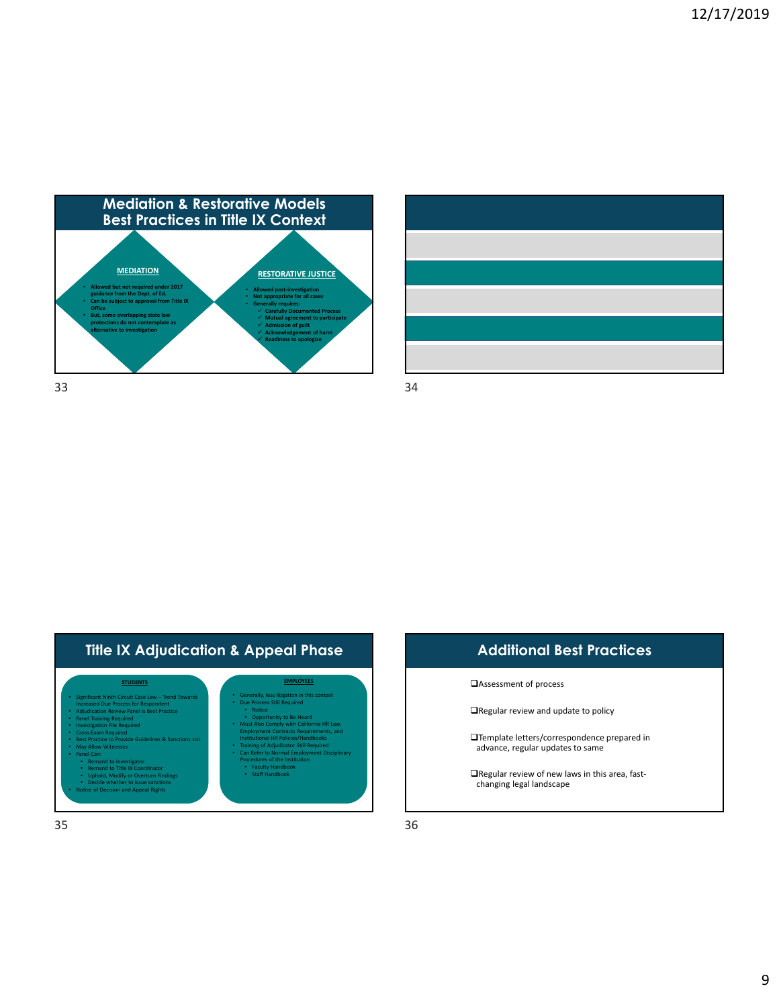



| <b>Additional Best Practices</b>                                                       |  |  |
|----------------------------------------------------------------------------------------|--|--|
| □ Assessment of process                                                                |  |  |
| $\Box$ Regular review and update to policy                                             |  |  |
| $\Box$ Template letters/correspondence prepared in<br>advance, regular updates to same |  |  |
| $\Box$ Regular review of new laws in this area, fast-<br>changing legal landscape      |  |  |